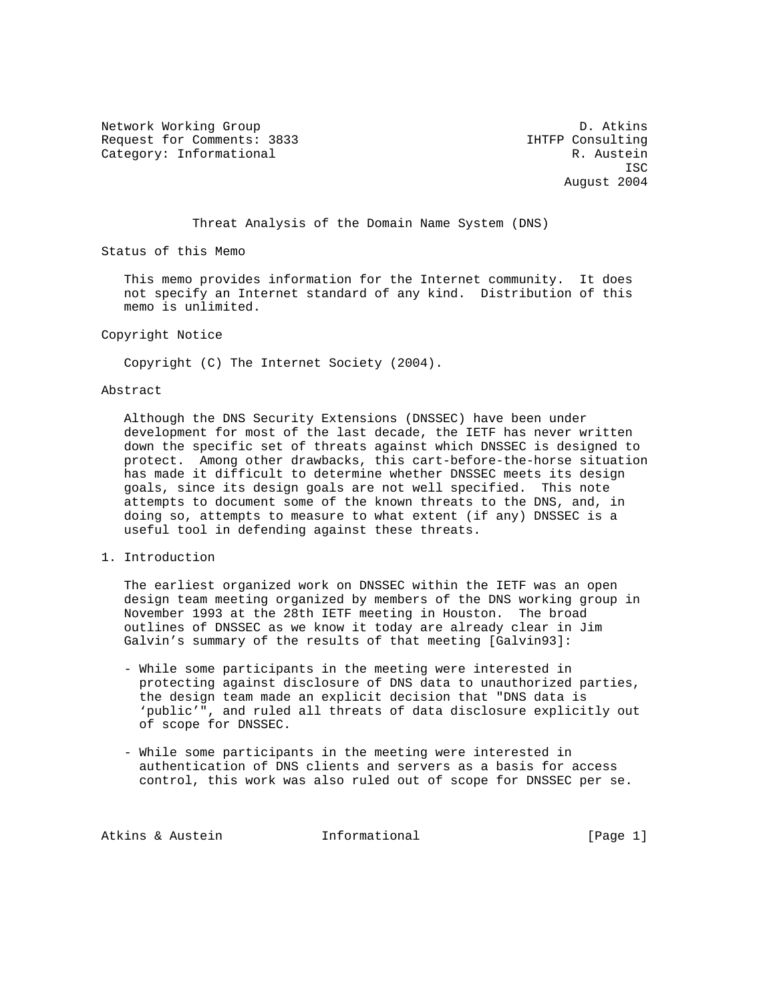Network Working Group D. Atkins Request for Comments: 3833 IHTFP Consulting Category: Informational R. Austein

**ISC** ISC 2003 **ISC** ISC 30 **ISC** August 2004

Threat Analysis of the Domain Name System (DNS)

Status of this Memo

 This memo provides information for the Internet community. It does not specify an Internet standard of any kind. Distribution of this memo is unlimited.

Copyright Notice

Copyright (C) The Internet Society (2004).

#### Abstract

 Although the DNS Security Extensions (DNSSEC) have been under development for most of the last decade, the IETF has never written down the specific set of threats against which DNSSEC is designed to protect. Among other drawbacks, this cart-before-the-horse situation has made it difficult to determine whether DNSSEC meets its design goals, since its design goals are not well specified. This note attempts to document some of the known threats to the DNS, and, in doing so, attempts to measure to what extent (if any) DNSSEC is a useful tool in defending against these threats.

1. Introduction

 The earliest organized work on DNSSEC within the IETF was an open design team meeting organized by members of the DNS working group in November 1993 at the 28th IETF meeting in Houston. The broad outlines of DNSSEC as we know it today are already clear in Jim Galvin's summary of the results of that meeting [Galvin93]:

- While some participants in the meeting were interested in protecting against disclosure of DNS data to unauthorized parties, the design team made an explicit decision that "DNS data is 'public'", and ruled all threats of data disclosure explicitly out of scope for DNSSEC.
- While some participants in the meeting were interested in authentication of DNS clients and servers as a basis for access control, this work was also ruled out of scope for DNSSEC per se.

Atkins & Austein **Informational** [Page 1]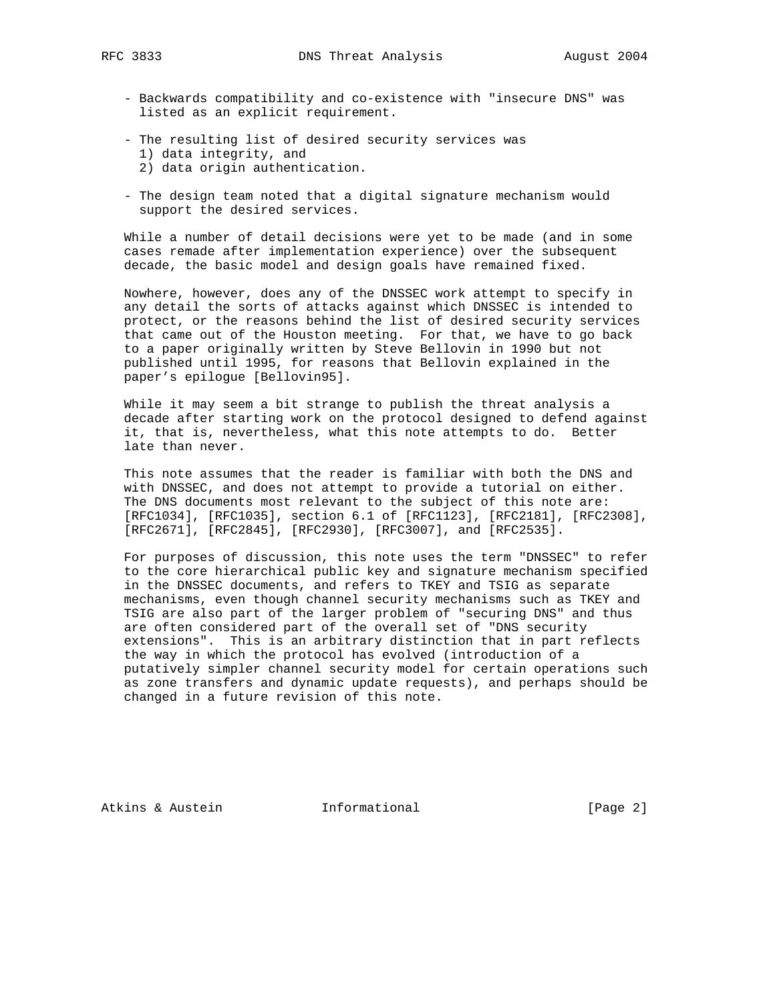- Backwards compatibility and co-existence with "insecure DNS" was listed as an explicit requirement.
- The resulting list of desired security services was 1) data integrity, and 2) data origin authentication.
- The design team noted that a digital signature mechanism would support the desired services.

 While a number of detail decisions were yet to be made (and in some cases remade after implementation experience) over the subsequent decade, the basic model and design goals have remained fixed.

 Nowhere, however, does any of the DNSSEC work attempt to specify in any detail the sorts of attacks against which DNSSEC is intended to protect, or the reasons behind the list of desired security services that came out of the Houston meeting. For that, we have to go back to a paper originally written by Steve Bellovin in 1990 but not published until 1995, for reasons that Bellovin explained in the paper's epilogue [Bellovin95].

 While it may seem a bit strange to publish the threat analysis a decade after starting work on the protocol designed to defend against it, that is, nevertheless, what this note attempts to do. Better late than never.

 This note assumes that the reader is familiar with both the DNS and with DNSSEC, and does not attempt to provide a tutorial on either. The DNS documents most relevant to the subject of this note are: [RFC1034], [RFC1035], section 6.1 of [RFC1123], [RFC2181], [RFC2308], [RFC2671], [RFC2845], [RFC2930], [RFC3007], and [RFC2535].

 For purposes of discussion, this note uses the term "DNSSEC" to refer to the core hierarchical public key and signature mechanism specified in the DNSSEC documents, and refers to TKEY and TSIG as separate mechanisms, even though channel security mechanisms such as TKEY and TSIG are also part of the larger problem of "securing DNS" and thus are often considered part of the overall set of "DNS security extensions". This is an arbitrary distinction that in part reflects the way in which the protocol has evolved (introduction of a putatively simpler channel security model for certain operations such as zone transfers and dynamic update requests), and perhaps should be changed in a future revision of this note.

Atkins & Austein **Informational** [Page 2]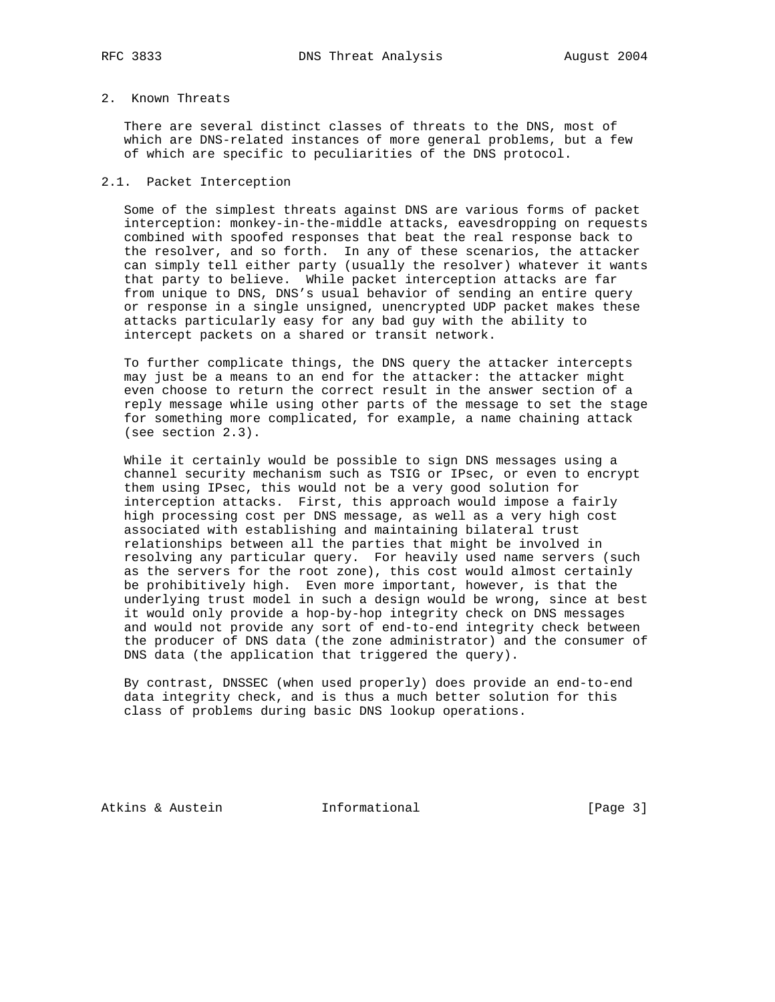# 2. Known Threats

 There are several distinct classes of threats to the DNS, most of which are DNS-related instances of more general problems, but a few of which are specific to peculiarities of the DNS protocol.

## 2.1. Packet Interception

 Some of the simplest threats against DNS are various forms of packet interception: monkey-in-the-middle attacks, eavesdropping on requests combined with spoofed responses that beat the real response back to the resolver, and so forth. In any of these scenarios, the attacker can simply tell either party (usually the resolver) whatever it wants that party to believe. While packet interception attacks are far from unique to DNS, DNS's usual behavior of sending an entire query or response in a single unsigned, unencrypted UDP packet makes these attacks particularly easy for any bad guy with the ability to intercept packets on a shared or transit network.

 To further complicate things, the DNS query the attacker intercepts may just be a means to an end for the attacker: the attacker might even choose to return the correct result in the answer section of a reply message while using other parts of the message to set the stage for something more complicated, for example, a name chaining attack (see section 2.3).

 While it certainly would be possible to sign DNS messages using a channel security mechanism such as TSIG or IPsec, or even to encrypt them using IPsec, this would not be a very good solution for interception attacks. First, this approach would impose a fairly high processing cost per DNS message, as well as a very high cost associated with establishing and maintaining bilateral trust relationships between all the parties that might be involved in resolving any particular query. For heavily used name servers (such as the servers for the root zone), this cost would almost certainly be prohibitively high. Even more important, however, is that the underlying trust model in such a design would be wrong, since at best it would only provide a hop-by-hop integrity check on DNS messages and would not provide any sort of end-to-end integrity check between the producer of DNS data (the zone administrator) and the consumer of DNS data (the application that triggered the query).

 By contrast, DNSSEC (when used properly) does provide an end-to-end data integrity check, and is thus a much better solution for this class of problems during basic DNS lookup operations.

Atkins & Austein **Informational** [Page 3]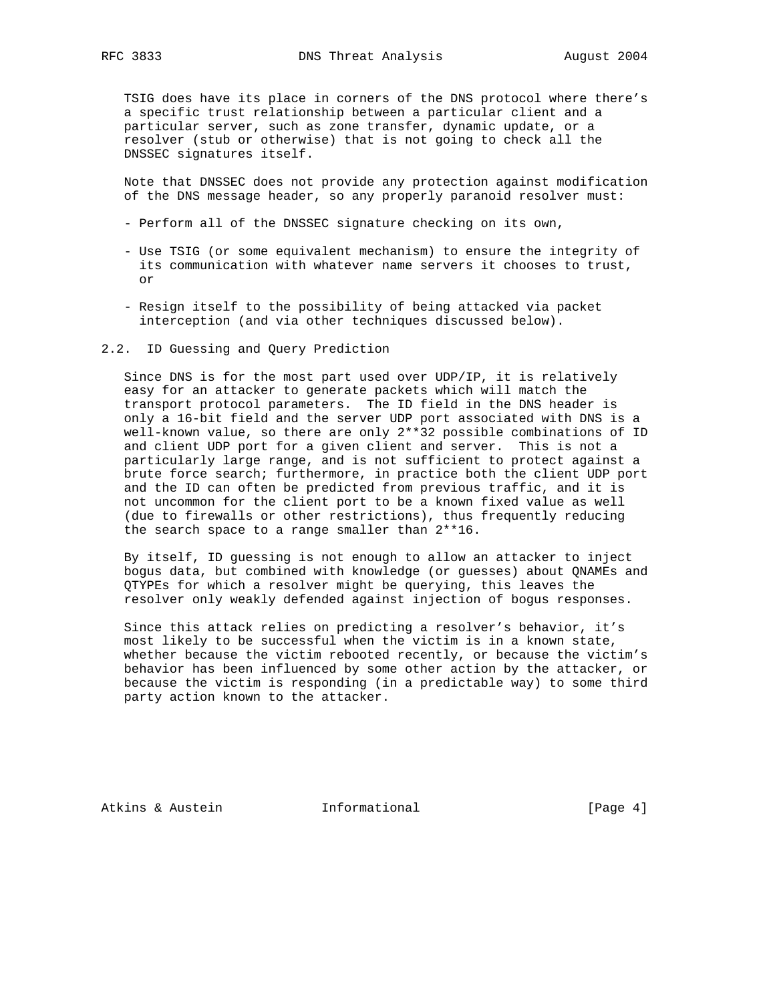TSIG does have its place in corners of the DNS protocol where there's a specific trust relationship between a particular client and a particular server, such as zone transfer, dynamic update, or a resolver (stub or otherwise) that is not going to check all the DNSSEC signatures itself.

 Note that DNSSEC does not provide any protection against modification of the DNS message header, so any properly paranoid resolver must:

- Perform all of the DNSSEC signature checking on its own,
- Use TSIG (or some equivalent mechanism) to ensure the integrity of its communication with whatever name servers it chooses to trust, or
- Resign itself to the possibility of being attacked via packet interception (and via other techniques discussed below).

## 2.2. ID Guessing and Query Prediction

 Since DNS is for the most part used over UDP/IP, it is relatively easy for an attacker to generate packets which will match the transport protocol parameters. The ID field in the DNS header is only a 16-bit field and the server UDP port associated with DNS is a well-known value, so there are only 2\*\*32 possible combinations of ID and client UDP port for a given client and server. This is not a particularly large range, and is not sufficient to protect against a brute force search; furthermore, in practice both the client UDP port and the ID can often be predicted from previous traffic, and it is not uncommon for the client port to be a known fixed value as well (due to firewalls or other restrictions), thus frequently reducing the search space to a range smaller than 2\*\*16.

 By itself, ID guessing is not enough to allow an attacker to inject bogus data, but combined with knowledge (or guesses) about QNAMEs and QTYPEs for which a resolver might be querying, this leaves the resolver only weakly defended against injection of bogus responses.

 Since this attack relies on predicting a resolver's behavior, it's most likely to be successful when the victim is in a known state, whether because the victim rebooted recently, or because the victim's behavior has been influenced by some other action by the attacker, or because the victim is responding (in a predictable way) to some third party action known to the attacker.

Atkins & Austein **Informational** [Page 4]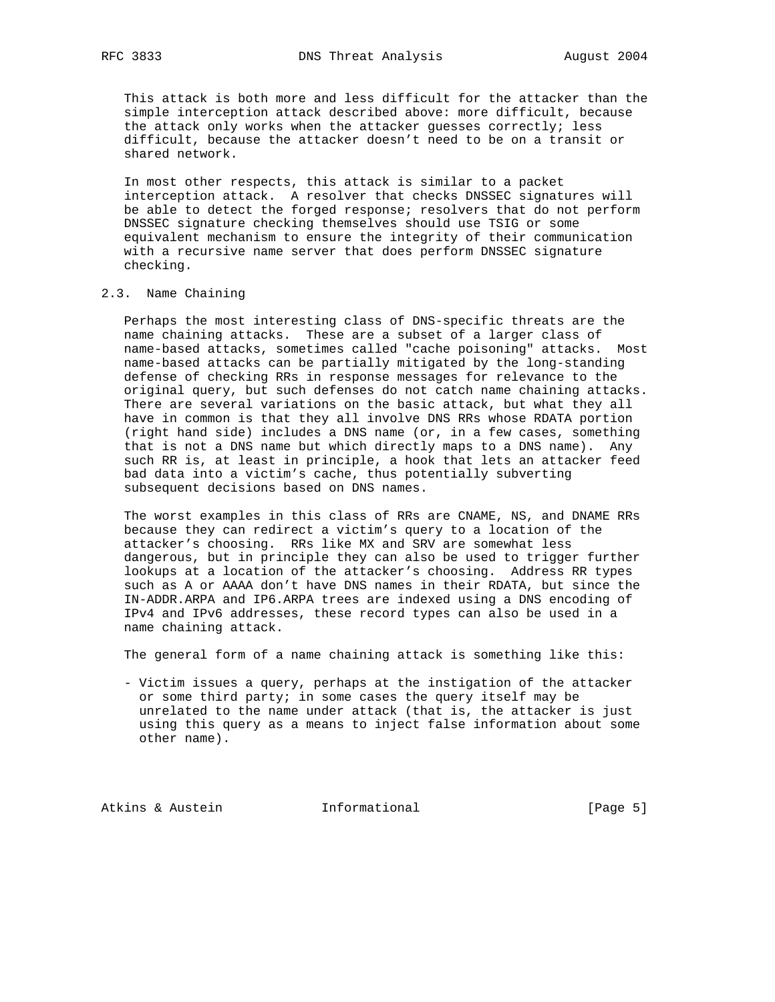This attack is both more and less difficult for the attacker than the simple interception attack described above: more difficult, because the attack only works when the attacker guesses correctly; less difficult, because the attacker doesn't need to be on a transit or shared network.

 In most other respects, this attack is similar to a packet interception attack. A resolver that checks DNSSEC signatures will be able to detect the forged response; resolvers that do not perform DNSSEC signature checking themselves should use TSIG or some equivalent mechanism to ensure the integrity of their communication with a recursive name server that does perform DNSSEC signature checking.

# 2.3. Name Chaining

 Perhaps the most interesting class of DNS-specific threats are the name chaining attacks. These are a subset of a larger class of name-based attacks, sometimes called "cache poisoning" attacks. Most name-based attacks can be partially mitigated by the long-standing defense of checking RRs in response messages for relevance to the original query, but such defenses do not catch name chaining attacks. There are several variations on the basic attack, but what they all have in common is that they all involve DNS RRs whose RDATA portion (right hand side) includes a DNS name (or, in a few cases, something that is not a DNS name but which directly maps to a DNS name). Any such RR is, at least in principle, a hook that lets an attacker feed bad data into a victim's cache, thus potentially subverting subsequent decisions based on DNS names.

 The worst examples in this class of RRs are CNAME, NS, and DNAME RRs because they can redirect a victim's query to a location of the attacker's choosing. RRs like MX and SRV are somewhat less dangerous, but in principle they can also be used to trigger further lookups at a location of the attacker's choosing. Address RR types such as A or AAAA don't have DNS names in their RDATA, but since the IN-ADDR.ARPA and IP6.ARPA trees are indexed using a DNS encoding of IPv4 and IPv6 addresses, these record types can also be used in a name chaining attack.

The general form of a name chaining attack is something like this:

 - Victim issues a query, perhaps at the instigation of the attacker or some third party; in some cases the query itself may be unrelated to the name under attack (that is, the attacker is just using this query as a means to inject false information about some other name).

Atkins & Austein **Informational** [Page 5]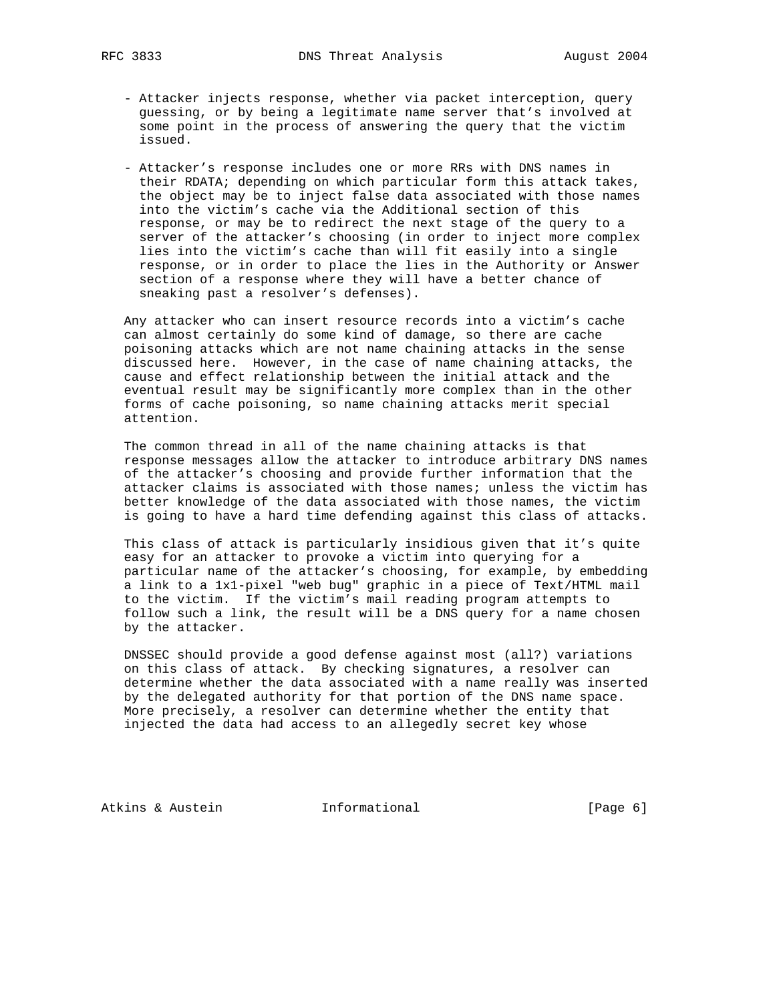- Attacker injects response, whether via packet interception, query guessing, or by being a legitimate name server that's involved at some point in the process of answering the query that the victim issued.
- Attacker's response includes one or more RRs with DNS names in their RDATA; depending on which particular form this attack takes, the object may be to inject false data associated with those names into the victim's cache via the Additional section of this response, or may be to redirect the next stage of the query to a server of the attacker's choosing (in order to inject more complex lies into the victim's cache than will fit easily into a single response, or in order to place the lies in the Authority or Answer section of a response where they will have a better chance of sneaking past a resolver's defenses).

 Any attacker who can insert resource records into a victim's cache can almost certainly do some kind of damage, so there are cache poisoning attacks which are not name chaining attacks in the sense discussed here. However, in the case of name chaining attacks, the cause and effect relationship between the initial attack and the eventual result may be significantly more complex than in the other forms of cache poisoning, so name chaining attacks merit special attention.

 The common thread in all of the name chaining attacks is that response messages allow the attacker to introduce arbitrary DNS names of the attacker's choosing and provide further information that the attacker claims is associated with those names; unless the victim has better knowledge of the data associated with those names, the victim is going to have a hard time defending against this class of attacks.

 This class of attack is particularly insidious given that it's quite easy for an attacker to provoke a victim into querying for a particular name of the attacker's choosing, for example, by embedding a link to a 1x1-pixel "web bug" graphic in a piece of Text/HTML mail to the victim. If the victim's mail reading program attempts to follow such a link, the result will be a DNS query for a name chosen by the attacker.

 DNSSEC should provide a good defense against most (all?) variations on this class of attack. By checking signatures, a resolver can determine whether the data associated with a name really was inserted by the delegated authority for that portion of the DNS name space. More precisely, a resolver can determine whether the entity that injected the data had access to an allegedly secret key whose

Atkins & Austein **Informational** [Page 6]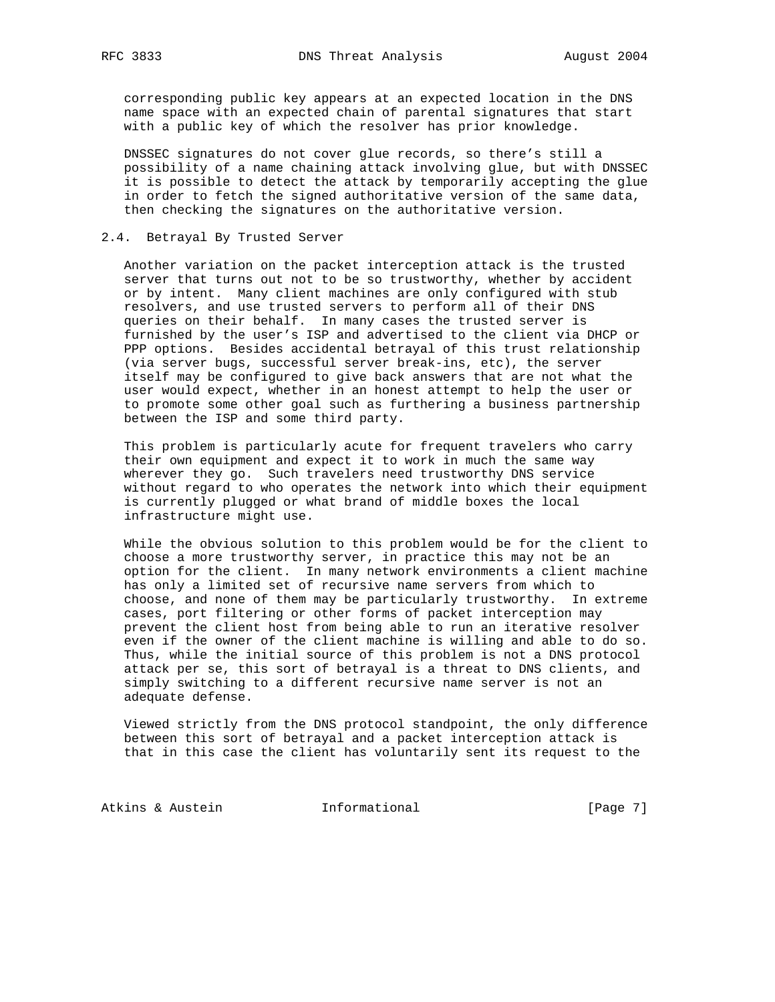corresponding public key appears at an expected location in the DNS name space with an expected chain of parental signatures that start with a public key of which the resolver has prior knowledge.

 DNSSEC signatures do not cover glue records, so there's still a possibility of a name chaining attack involving glue, but with DNSSEC it is possible to detect the attack by temporarily accepting the glue in order to fetch the signed authoritative version of the same data, then checking the signatures on the authoritative version.

### 2.4. Betrayal By Trusted Server

 Another variation on the packet interception attack is the trusted server that turns out not to be so trustworthy, whether by accident or by intent. Many client machines are only configured with stub resolvers, and use trusted servers to perform all of their DNS queries on their behalf. In many cases the trusted server is furnished by the user's ISP and advertised to the client via DHCP or PPP options. Besides accidental betrayal of this trust relationship (via server bugs, successful server break-ins, etc), the server itself may be configured to give back answers that are not what the user would expect, whether in an honest attempt to help the user or to promote some other goal such as furthering a business partnership between the ISP and some third party.

 This problem is particularly acute for frequent travelers who carry their own equipment and expect it to work in much the same way wherever they go. Such travelers need trustworthy DNS service without regard to who operates the network into which their equipment is currently plugged or what brand of middle boxes the local infrastructure might use.

 While the obvious solution to this problem would be for the client to choose a more trustworthy server, in practice this may not be an option for the client. In many network environments a client machine has only a limited set of recursive name servers from which to choose, and none of them may be particularly trustworthy. In extreme cases, port filtering or other forms of packet interception may prevent the client host from being able to run an iterative resolver even if the owner of the client machine is willing and able to do so. Thus, while the initial source of this problem is not a DNS protocol attack per se, this sort of betrayal is a threat to DNS clients, and simply switching to a different recursive name server is not an adequate defense.

 Viewed strictly from the DNS protocol standpoint, the only difference between this sort of betrayal and a packet interception attack is that in this case the client has voluntarily sent its request to the

Atkins & Austein **Informational** [Page 7]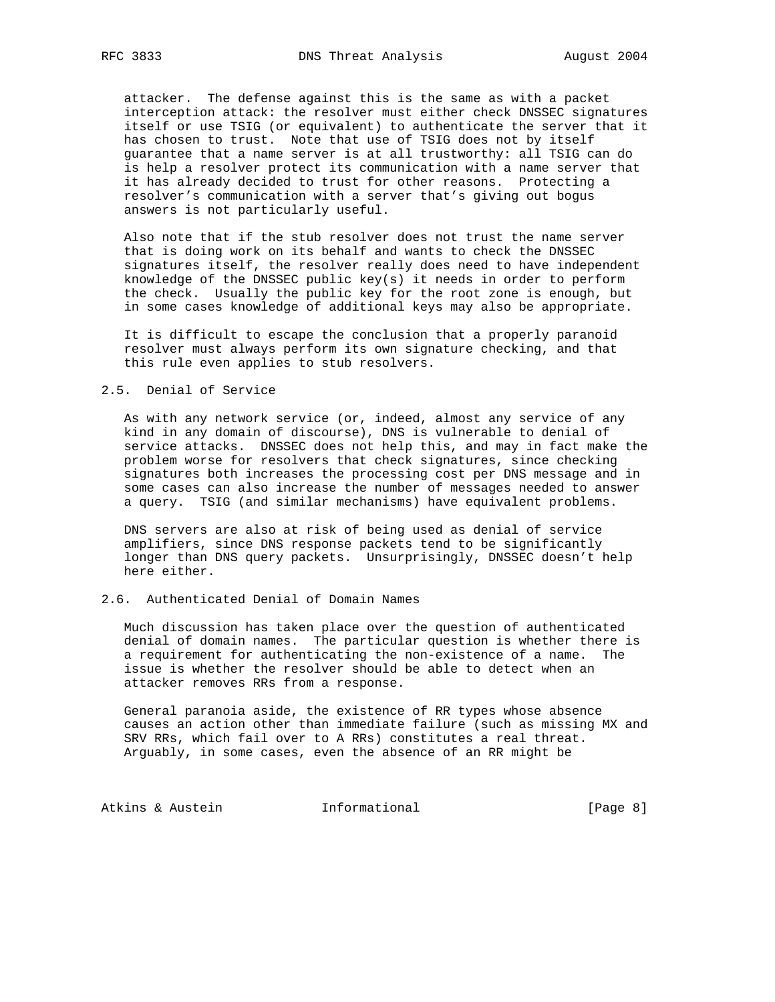attacker. The defense against this is the same as with a packet interception attack: the resolver must either check DNSSEC signatures itself or use TSIG (or equivalent) to authenticate the server that it has chosen to trust. Note that use of TSIG does not by itself guarantee that a name server is at all trustworthy: all TSIG can do is help a resolver protect its communication with a name server that it has already decided to trust for other reasons. Protecting a resolver's communication with a server that's giving out bogus answers is not particularly useful.

 Also note that if the stub resolver does not trust the name server that is doing work on its behalf and wants to check the DNSSEC signatures itself, the resolver really does need to have independent knowledge of the DNSSEC public key(s) it needs in order to perform the check. Usually the public key for the root zone is enough, but in some cases knowledge of additional keys may also be appropriate.

 It is difficult to escape the conclusion that a properly paranoid resolver must always perform its own signature checking, and that this rule even applies to stub resolvers.

## 2.5. Denial of Service

 As with any network service (or, indeed, almost any service of any kind in any domain of discourse), DNS is vulnerable to denial of service attacks. DNSSEC does not help this, and may in fact make the problem worse for resolvers that check signatures, since checking signatures both increases the processing cost per DNS message and in some cases can also increase the number of messages needed to answer a query. TSIG (and similar mechanisms) have equivalent problems.

 DNS servers are also at risk of being used as denial of service amplifiers, since DNS response packets tend to be significantly longer than DNS query packets. Unsurprisingly, DNSSEC doesn't help here either.

# 2.6. Authenticated Denial of Domain Names

 Much discussion has taken place over the question of authenticated denial of domain names. The particular question is whether there is a requirement for authenticating the non-existence of a name. The issue is whether the resolver should be able to detect when an attacker removes RRs from a response.

 General paranoia aside, the existence of RR types whose absence causes an action other than immediate failure (such as missing MX and SRV RRs, which fail over to A RRs) constitutes a real threat. Arguably, in some cases, even the absence of an RR might be

Atkins & Austein **Informational Informational** [Page 8]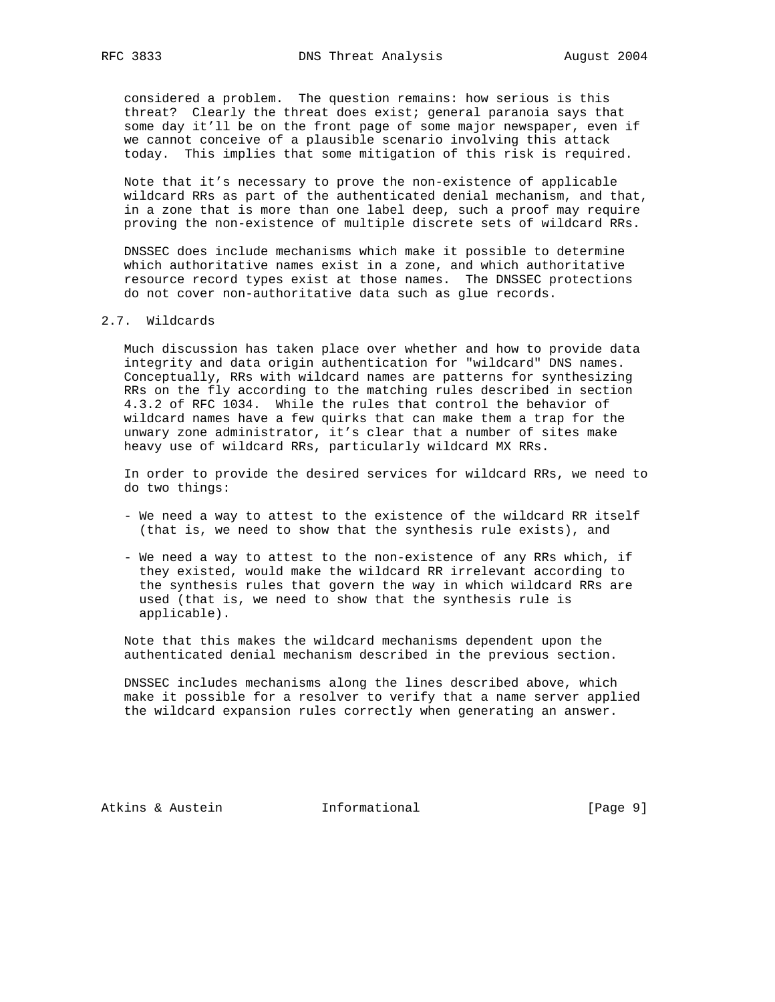considered a problem. The question remains: how serious is this threat? Clearly the threat does exist; general paranoia says that some day it'll be on the front page of some major newspaper, even if we cannot conceive of a plausible scenario involving this attack today. This implies that some mitigation of this risk is required.

 Note that it's necessary to prove the non-existence of applicable wildcard RRs as part of the authenticated denial mechanism, and that, in a zone that is more than one label deep, such a proof may require proving the non-existence of multiple discrete sets of wildcard RRs.

 DNSSEC does include mechanisms which make it possible to determine which authoritative names exist in a zone, and which authoritative resource record types exist at those names. The DNSSEC protections do not cover non-authoritative data such as glue records.

#### 2.7. Wildcards

 Much discussion has taken place over whether and how to provide data integrity and data origin authentication for "wildcard" DNS names. Conceptually, RRs with wildcard names are patterns for synthesizing RRs on the fly according to the matching rules described in section 4.3.2 of RFC 1034. While the rules that control the behavior of wildcard names have a few quirks that can make them a trap for the unwary zone administrator, it's clear that a number of sites make heavy use of wildcard RRs, particularly wildcard MX RRs.

 In order to provide the desired services for wildcard RRs, we need to do two things:

- We need a way to attest to the existence of the wildcard RR itself (that is, we need to show that the synthesis rule exists), and
- We need a way to attest to the non-existence of any RRs which, if they existed, would make the wildcard RR irrelevant according to the synthesis rules that govern the way in which wildcard RRs are used (that is, we need to show that the synthesis rule is applicable).

 Note that this makes the wildcard mechanisms dependent upon the authenticated denial mechanism described in the previous section.

 DNSSEC includes mechanisms along the lines described above, which make it possible for a resolver to verify that a name server applied the wildcard expansion rules correctly when generating an answer.

Atkins & Austein **Informational** [Page 9]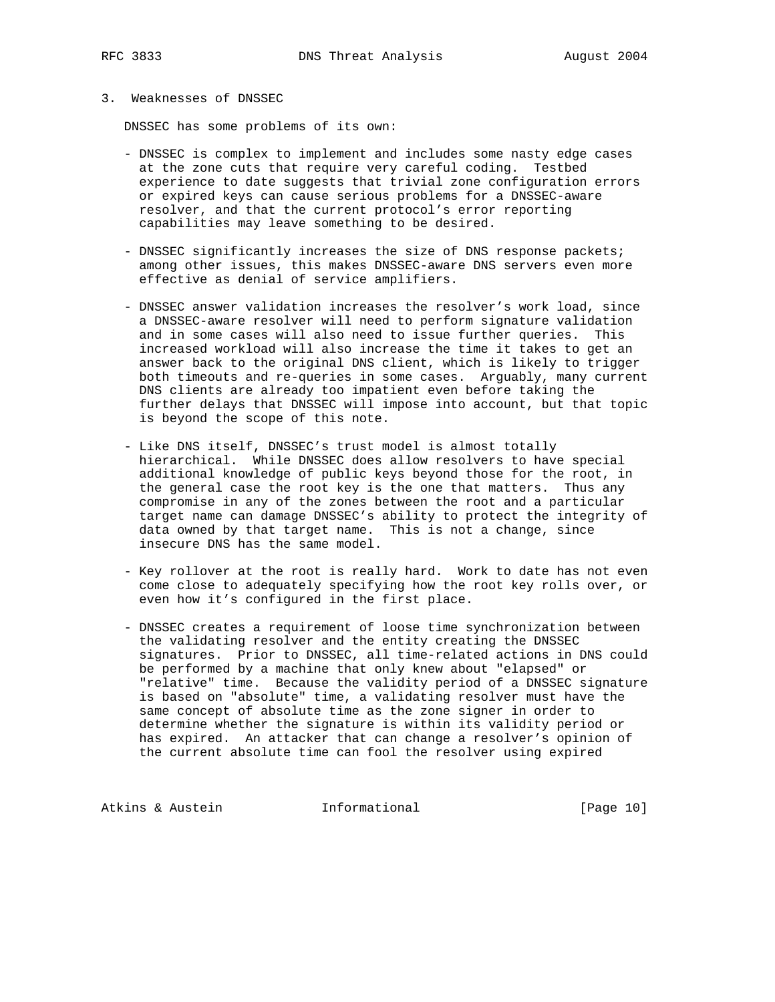## 3. Weaknesses of DNSSEC

DNSSEC has some problems of its own:

- DNSSEC is complex to implement and includes some nasty edge cases at the zone cuts that require very careful coding. Testbed experience to date suggests that trivial zone configuration errors or expired keys can cause serious problems for a DNSSEC-aware resolver, and that the current protocol's error reporting capabilities may leave something to be desired.
- DNSSEC significantly increases the size of DNS response packets; among other issues, this makes DNSSEC-aware DNS servers even more effective as denial of service amplifiers.
- DNSSEC answer validation increases the resolver's work load, since a DNSSEC-aware resolver will need to perform signature validation and in some cases will also need to issue further queries. This increased workload will also increase the time it takes to get an answer back to the original DNS client, which is likely to trigger both timeouts and re-queries in some cases. Arguably, many current DNS clients are already too impatient even before taking the further delays that DNSSEC will impose into account, but that topic is beyond the scope of this note.
- Like DNS itself, DNSSEC's trust model is almost totally hierarchical. While DNSSEC does allow resolvers to have special additional knowledge of public keys beyond those for the root, in the general case the root key is the one that matters. Thus any compromise in any of the zones between the root and a particular target name can damage DNSSEC's ability to protect the integrity of data owned by that target name. This is not a change, since insecure DNS has the same model.
- Key rollover at the root is really hard. Work to date has not even come close to adequately specifying how the root key rolls over, or even how it's configured in the first place.
- DNSSEC creates a requirement of loose time synchronization between the validating resolver and the entity creating the DNSSEC signatures. Prior to DNSSEC, all time-related actions in DNS could be performed by a machine that only knew about "elapsed" or "relative" time. Because the validity period of a DNSSEC signature is based on "absolute" time, a validating resolver must have the same concept of absolute time as the zone signer in order to determine whether the signature is within its validity period or has expired. An attacker that can change a resolver's opinion of the current absolute time can fool the resolver using expired

Atkins & Austein **Informational** [Page 10]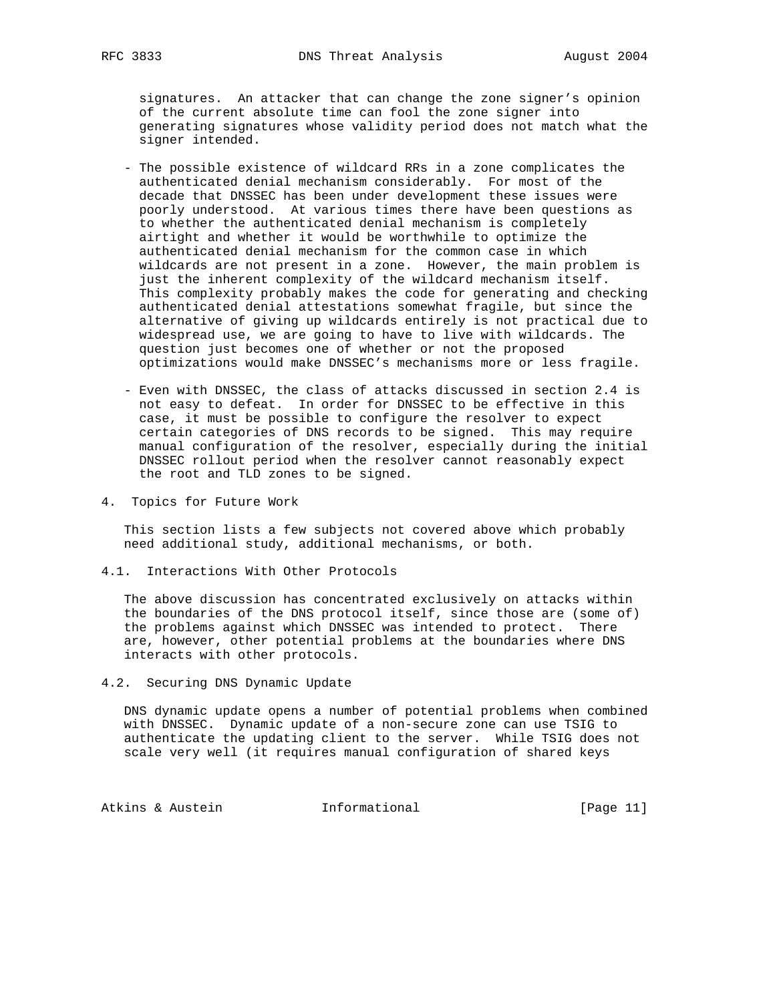signatures. An attacker that can change the zone signer's opinion of the current absolute time can fool the zone signer into generating signatures whose validity period does not match what the signer intended.

- The possible existence of wildcard RRs in a zone complicates the authenticated denial mechanism considerably. For most of the decade that DNSSEC has been under development these issues were poorly understood. At various times there have been questions as to whether the authenticated denial mechanism is completely airtight and whether it would be worthwhile to optimize the authenticated denial mechanism for the common case in which wildcards are not present in a zone. However, the main problem is just the inherent complexity of the wildcard mechanism itself. This complexity probably makes the code for generating and checking authenticated denial attestations somewhat fragile, but since the alternative of giving up wildcards entirely is not practical due to widespread use, we are going to have to live with wildcards. The question just becomes one of whether or not the proposed optimizations would make DNSSEC's mechanisms more or less fragile.
- Even with DNSSEC, the class of attacks discussed in section 2.4 is not easy to defeat. In order for DNSSEC to be effective in this case, it must be possible to configure the resolver to expect certain categories of DNS records to be signed. This may require manual configuration of the resolver, especially during the initial DNSSEC rollout period when the resolver cannot reasonably expect the root and TLD zones to be signed.
- 4. Topics for Future Work

 This section lists a few subjects not covered above which probably need additional study, additional mechanisms, or both.

4.1. Interactions With Other Protocols

 The above discussion has concentrated exclusively on attacks within the boundaries of the DNS protocol itself, since those are (some of) the problems against which DNSSEC was intended to protect. There are, however, other potential problems at the boundaries where DNS interacts with other protocols.

4.2. Securing DNS Dynamic Update

 DNS dynamic update opens a number of potential problems when combined with DNSSEC. Dynamic update of a non-secure zone can use TSIG to authenticate the updating client to the server. While TSIG does not scale very well (it requires manual configuration of shared keys

Atkins & Austein **Informational** [Page 11]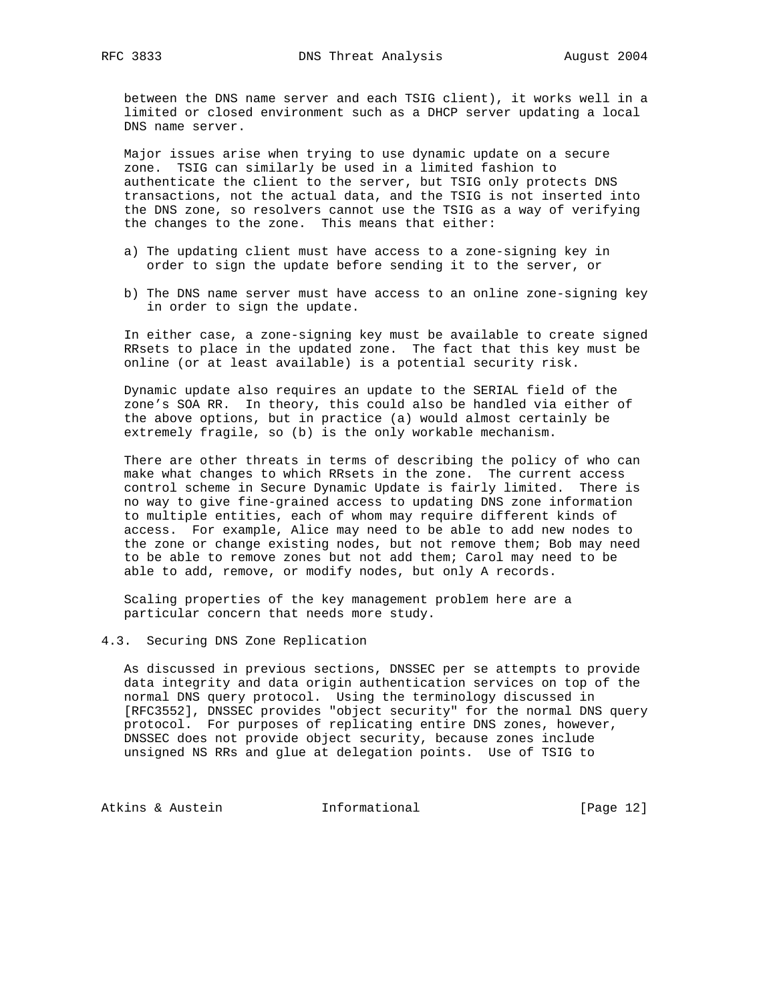between the DNS name server and each TSIG client), it works well in a limited or closed environment such as a DHCP server updating a local DNS name server.

 Major issues arise when trying to use dynamic update on a secure zone. TSIG can similarly be used in a limited fashion to authenticate the client to the server, but TSIG only protects DNS transactions, not the actual data, and the TSIG is not inserted into the DNS zone, so resolvers cannot use the TSIG as a way of verifying the changes to the zone. This means that either:

- a) The updating client must have access to a zone-signing key in order to sign the update before sending it to the server, or
- b) The DNS name server must have access to an online zone-signing key in order to sign the update.

 In either case, a zone-signing key must be available to create signed RRsets to place in the updated zone. The fact that this key must be online (or at least available) is a potential security risk.

 Dynamic update also requires an update to the SERIAL field of the zone's SOA RR. In theory, this could also be handled via either of the above options, but in practice (a) would almost certainly be extremely fragile, so (b) is the only workable mechanism.

 There are other threats in terms of describing the policy of who can make what changes to which RRsets in the zone. The current access control scheme in Secure Dynamic Update is fairly limited. There is no way to give fine-grained access to updating DNS zone information to multiple entities, each of whom may require different kinds of access. For example, Alice may need to be able to add new nodes to the zone or change existing nodes, but not remove them; Bob may need to be able to remove zones but not add them; Carol may need to be able to add, remove, or modify nodes, but only A records.

 Scaling properties of the key management problem here are a particular concern that needs more study.

## 4.3. Securing DNS Zone Replication

 As discussed in previous sections, DNSSEC per se attempts to provide data integrity and data origin authentication services on top of the normal DNS query protocol. Using the terminology discussed in [RFC3552], DNSSEC provides "object security" for the normal DNS query protocol. For purposes of replicating entire DNS zones, however, DNSSEC does not provide object security, because zones include unsigned NS RRs and glue at delegation points. Use of TSIG to

Atkins & Austein **Informational** [Page 12]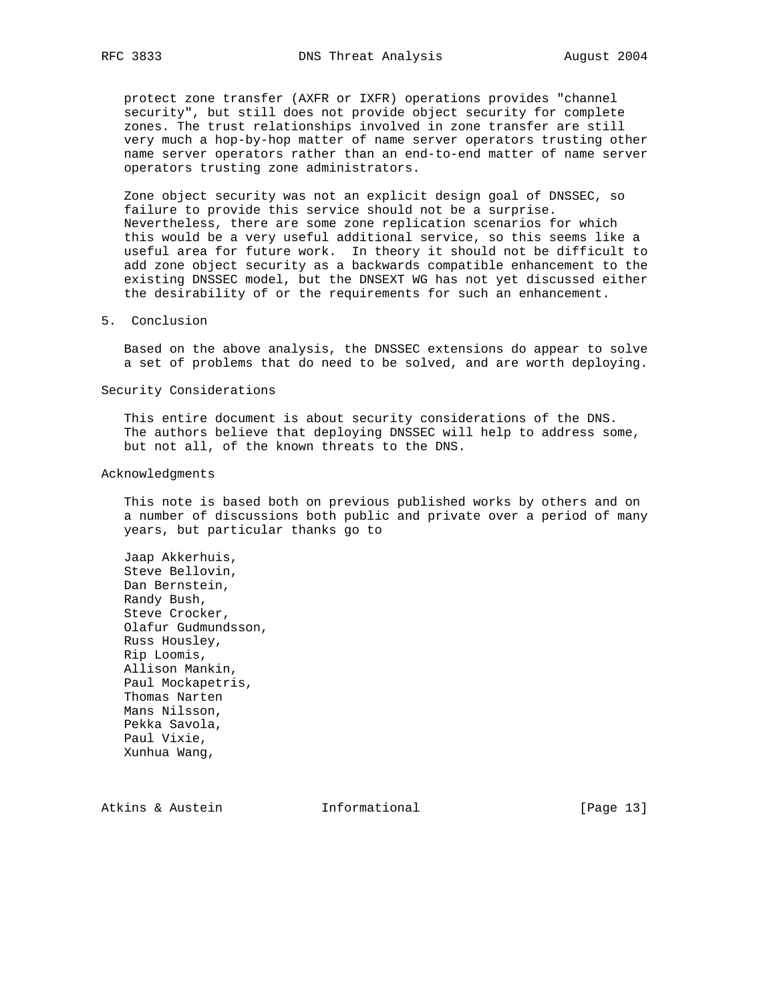protect zone transfer (AXFR or IXFR) operations provides "channel security", but still does not provide object security for complete zones. The trust relationships involved in zone transfer are still very much a hop-by-hop matter of name server operators trusting other name server operators rather than an end-to-end matter of name server operators trusting zone administrators.

 Zone object security was not an explicit design goal of DNSSEC, so failure to provide this service should not be a surprise. Nevertheless, there are some zone replication scenarios for which this would be a very useful additional service, so this seems like a useful area for future work. In theory it should not be difficult to add zone object security as a backwards compatible enhancement to the existing DNSSEC model, but the DNSEXT WG has not yet discussed either the desirability of or the requirements for such an enhancement.

### 5. Conclusion

 Based on the above analysis, the DNSSEC extensions do appear to solve a set of problems that do need to be solved, and are worth deploying.

## Security Considerations

 This entire document is about security considerations of the DNS. The authors believe that deploying DNSSEC will help to address some, but not all, of the known threats to the DNS.

## Acknowledgments

 This note is based both on previous published works by others and on a number of discussions both public and private over a period of many years, but particular thanks go to

 Jaap Akkerhuis, Steve Bellovin, Dan Bernstein, Randy Bush, Steve Crocker, Olafur Gudmundsson, Russ Housley, Rip Loomis, Allison Mankin, Paul Mockapetris, Thomas Narten Mans Nilsson, Pekka Savola, Paul Vixie, Xunhua Wang,

Atkins & Austein **Informational** [Page 13]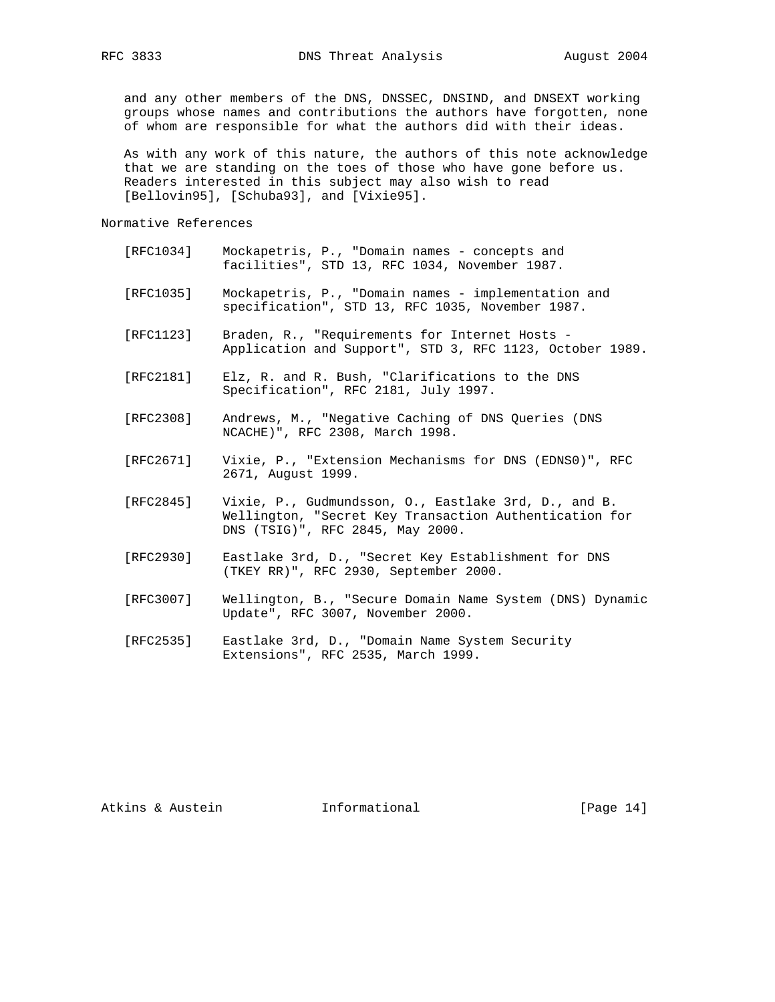and any other members of the DNS, DNSSEC, DNSIND, and DNSEXT working groups whose names and contributions the authors have forgotten, none of whom are responsible for what the authors did with their ideas.

 As with any work of this nature, the authors of this note acknowledge that we are standing on the toes of those who have gone before us. Readers interested in this subject may also wish to read [Bellovin95], [Schuba93], and [Vixie95].

Normative References

- [RFC1034] Mockapetris, P., "Domain names concepts and facilities", STD 13, RFC 1034, November 1987. [RFC1035] Mockapetris, P., "Domain names - implementation and specification", STD 13, RFC 1035, November 1987. [RFC1123] Braden, R., "Requirements for Internet Hosts - Application and Support", STD 3, RFC 1123, October 1989. [RFC2181] Elz, R. and R. Bush, "Clarifications to the DNS Specification", RFC 2181, July 1997. [RFC2308] Andrews, M., "Negative Caching of DNS Queries (DNS NCACHE)", RFC 2308, March 1998. [RFC2671] Vixie, P., "Extension Mechanisms for DNS (EDNS0)", RFC 2671, August 1999. [RFC2845] Vixie, P., Gudmundsson, O., Eastlake 3rd, D., and B. Wellington, "Secret Key Transaction Authentication for DNS (TSIG)", RFC 2845, May 2000. [RFC2930] Eastlake 3rd, D., "Secret Key Establishment for DNS (TKEY RR)", RFC 2930, September 2000. [RFC3007] Wellington, B., "Secure Domain Name System (DNS) Dynamic Update", RFC 3007, November 2000.
- [RFC2535] Eastlake 3rd, D., "Domain Name System Security Extensions", RFC 2535, March 1999.

Atkins & Austein **Informational** [Page 14]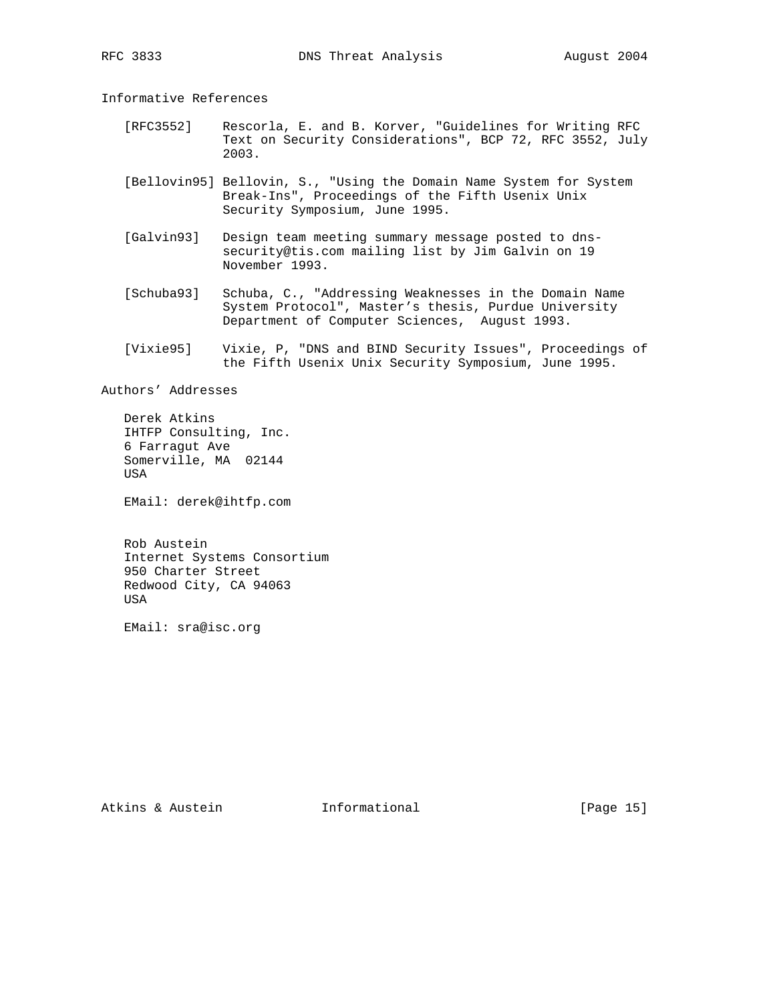Informative References

- [RFC3552] Rescorla, E. and B. Korver, "Guidelines for Writing RFC Text on Security Considerations", BCP 72, RFC 3552, July 2003.
- [Bellovin95] Bellovin, S., "Using the Domain Name System for System Break-Ins", Proceedings of the Fifth Usenix Unix Security Symposium, June 1995.
- [Galvin93] Design team meeting summary message posted to dns security@tis.com mailing list by Jim Galvin on 19 November 1993.
- [Schuba93] Schuba, C., "Addressing Weaknesses in the Domain Name System Protocol", Master's thesis, Purdue University Department of Computer Sciences, August 1993.
- [Vixie95] Vixie, P, "DNS and BIND Security Issues", Proceedings of the Fifth Usenix Unix Security Symposium, June 1995.

Authors' Addresses

 Derek Atkins IHTFP Consulting, Inc. 6 Farragut Ave Somerville, MA 02144 USA

EMail: derek@ihtfp.com

 Rob Austein Internet Systems Consortium 950 Charter Street Redwood City, CA 94063 USA

EMail: sra@isc.org

Atkins & Austein **Informational** [Page 15]